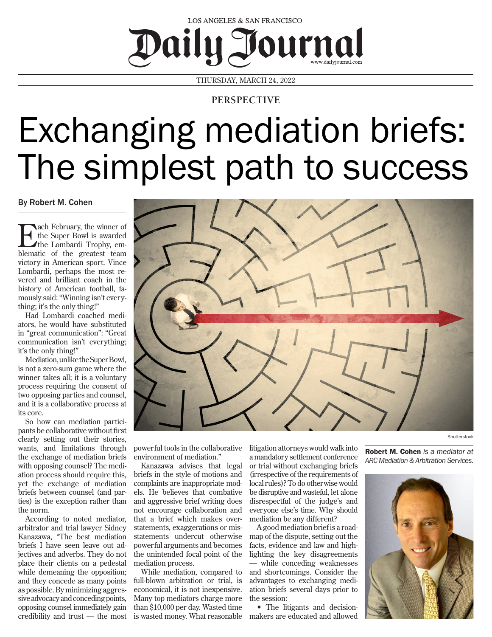

THURSDAY, MARCH 24, 2022

## **PERSPECTIVE**

## Exchanging mediation briefs: The simplest path to success

By Robert M. Cohen

**Example 1** The Super Bowl is awarded<br>the Lombardi Trophy, emthe Super Bowl is awarded blematic of the greatest team victory in American sport. Vince Lombardi, perhaps the most revered and brilliant coach in the history of American football, famously said: "Winning isn't everything; it's the only thing!"

Had Lombardi coached mediators, he would have substituted in "great communication": "Great communication isn't everything; it's the only thing!"

Mediation, unlike the Super Bowl, is not a zero-sum game where the winner takes all; it is a voluntary process requiring the consent of two opposing parties and counsel, and it is a collaborative process at its core.

So how can mediation participants be collaborative without first clearly setting out their stories, wants, and limitations through the exchange of mediation briefs with opposing counsel? The mediation process should require this, yet the exchange of mediation briefs between counsel (and parties) is the exception rather than the norm.

According to noted mediator, arbitrator and trial lawyer Sidney Kanazawa, "The best mediation briefs I have seen leave out adjectives and adverbs. They do not place their clients on a pedestal while demeaning the opposition; and they concede as many points as possible. By minimizing aggressive advocacy and conceding points, opposing counsel immediately gain credibility and trust — the most

powerful tools in the collaborative environment of mediation."

Kanazawa advises that legal briefs in the style of motions and complaints are inappropriate models. He believes that combative and aggressive brief writing does not encourage collaboration and that a brief which makes overstatements, exaggerations or misstatements undercut otherwise powerful arguments and becomes the unintended focal point of the mediation process.

While mediation, compared to full-blown arbitration or trial, is economical, it is not inexpensive. Many top mediators charge more than \$10,000 per day. Wasted time is wasted money. What reasonable litigation attorneys would walk into a mandatory settlement conference or trial without exchanging briefs (irrespective of the requirements of local rules)? To do otherwise would be disruptive and wasteful, let alone disrespectful of the judge's and everyone else's time. Why should mediation be any different?

A good mediation brief is a roadmap of the dispute, setting out the facts, evidence and law and highlighting the key disagreements — while conceding weaknesses and shortcomings. Consider the advantages to exchanging mediation briefs several days prior to the session:

• The litigants and decisionmakers are educated and allowed Robert M. Cohen *is a mediator at ARC Mediation & Arbitration Services.*



Shutterstock